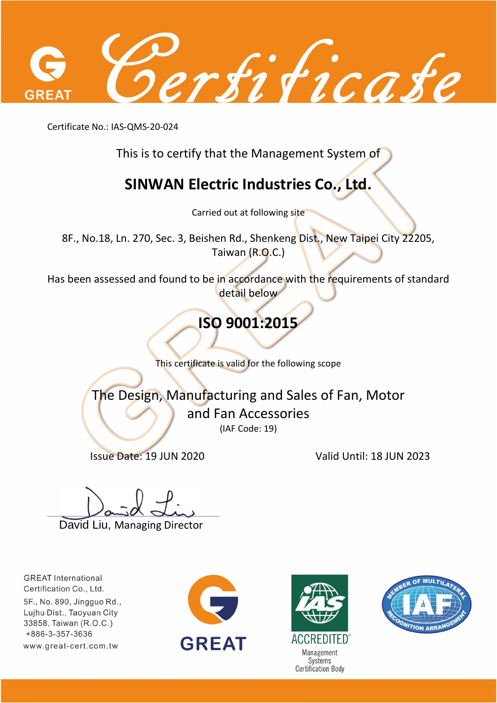rsi ticase

Certificate No.: IAS-QMS-20-024

This is to certify that the Management System of

# **SINWAN Electric Industries Co., Ltd.**

Carried out at following site

8F., No.18, Ln. 270, Sec. 3, Beishen Rd., Shenkeng Dist., New Taipei City 22205, Taiwan (R.O.C.)

Has been assessed and found to be in accordance with the requirements of standard detail below

**ISO 9001:2015** 

This certificate is valid for the following scope

The Design, Manufacturing and Sales of Fan, Motor and Fan Accessories (IAF Code: 19)

Issue Date: 19 JUN 2020 Valid Until: 18 JUN 2023

David Liu, Managing Director

**GREAT International** Certification Co., Ltd. 5F., No. 890, Jingguo Rd., Lujhu Dist., Taoyuan City 33858, Taiwan (R.O.C.) +886-3-357-3636 www.great-cert.com.tw





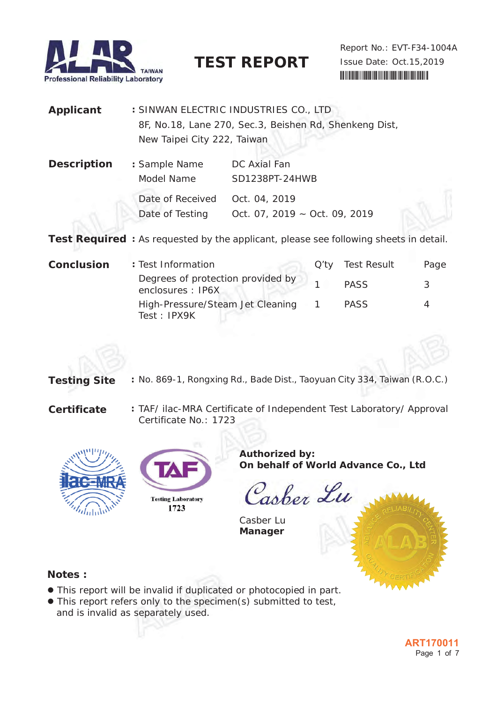

**TEST REPORT**

Report No.: EVT-F34-1004A Issue Date: Oct.15,2019 ( )) ( )) ( )) ( )) ( )) ( )) ( )) ( )) ( )) ( )) ( )) ( )) ( )) ( )) ( )) ( )) ( )) ( )) ( )) ( )

**Applicant :** SINWAN ELECTRIC INDUSTRIES CO., LTD 8F, No.18, Lane 270, Sec.3, Beishen Rd, Shenkeng Dist, New Taipei City 222, Taiwan

| <b>Description</b> | : Sample Name                  | DC Axial Fan                       |
|--------------------|--------------------------------|------------------------------------|
|                    | Model Name                     | SD1238PT-24HWB                     |
|                    | Date of Received Oct. 04, 2019 |                                    |
|                    | Date of Testing                | Oct. 07, 2019 $\sim$ Oct. 09, 2019 |
|                    |                                |                                    |

**Test Required :** As requested by the applicant, please see following sheets in detail.

**Conclusion** : Test Information **Conclusion**  $Q'$ ty Test Result Page Degrees of protection provided by begrees of protection provided by  $\frac{1}{1}$  PASS 3 High-Pressure/Steam Jet Cleaning Test : IPX9K 1 PASS 4



**Testing Site :** No. 869-1, Rongxing Rd., Bade Dist., Taoyuan City 334, Taiwan (R.O.C.)

- 
- **Certificate :** TAF/ ilac-MRA Certificate of Independent Test Laboratory/ Approval Certificate No.: 1723





**Authorized by: On behalf of World Advance Co., Ltd**

asber Lu

Casber Lu **Manager**



#### **Notes :**

- This report will be invalid if duplicated or photocopied in part.
- $\bullet$  This report refers only to the specimen(s) submitted to test,

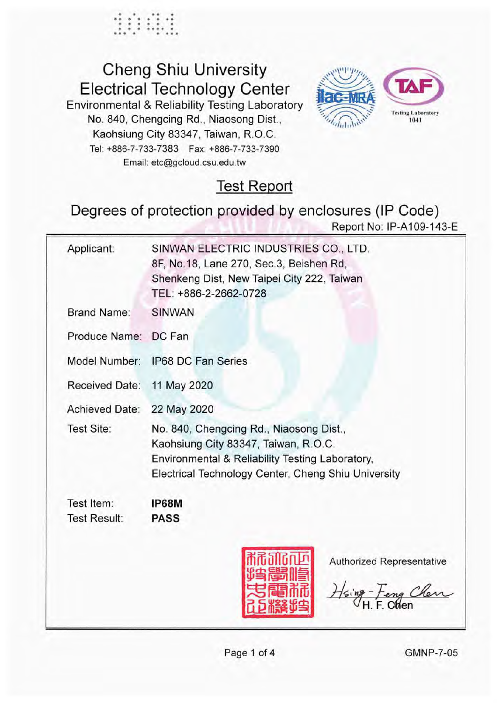# **Cheng Shiu University Electrical Technology Center**

Environmental & Reliability Testing Laboratory No. 840, Chengcing Rd., Niaosong Dist., Kaohsiung City 83347, Taiwan, R.O.C. Tel: +886-7-733-7383 Fax: +886-7-733-7390 Email: etc@gcloud.csu.edu.tw



**Test Report** 

Degrees of protection provided by enclosures (IP Code) Report No: IP-A109-143-E

| Applicant:            | SINWAN ELECTRIC INDUSTRIES CO., LTD.<br>8F, No.18, Lane 270, Sec.3, Beishen Rd,<br>Shenkeng Dist, New Taipei City 222, Taiwan<br>TEL: +886-2-2662-0728                                    |  |  |  |
|-----------------------|-------------------------------------------------------------------------------------------------------------------------------------------------------------------------------------------|--|--|--|
| Brand Name:           | <b>SINWAN</b>                                                                                                                                                                             |  |  |  |
| Produce Name: DC Fan  |                                                                                                                                                                                           |  |  |  |
| Model Number:         | IP68 DC Fan Series                                                                                                                                                                        |  |  |  |
| Received Date:        | 11 May 2020                                                                                                                                                                               |  |  |  |
| <b>Achieved Date:</b> | 22 May 2020                                                                                                                                                                               |  |  |  |
| Test Site:            | No. 840, Chengcing Rd., Niaosong Dist.,<br>Kaohsiung City 83347, Taiwan, R.O.C.<br>Environmental & Reliability Testing Laboratory,<br>Electrical Technology Center, Cheng Shiu University |  |  |  |
| Test Item:            | <b>IP68M</b>                                                                                                                                                                              |  |  |  |
| Test Result:          | <b>PASS</b>                                                                                                                                                                               |  |  |  |
|                       | Authorized Representative                                                                                                                                                                 |  |  |  |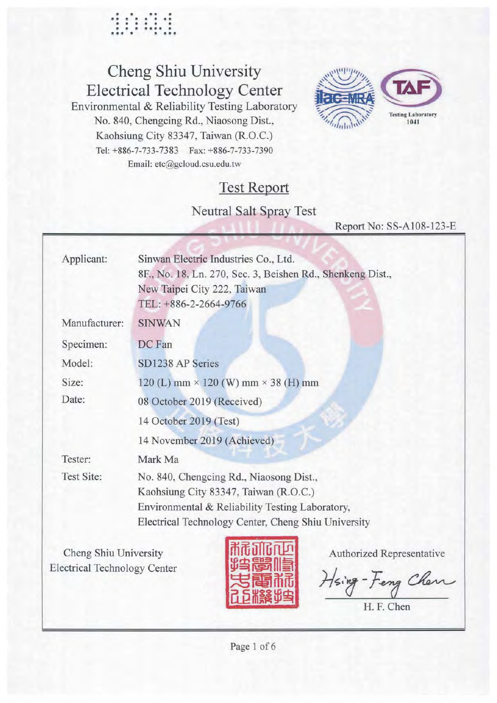# **100000**

### Cheng Shiu University **Electrical Technology Center** Environmental & Reliability Testing Laboratory No. 840, Chengcing Rd., Niaosong Dist., Kaohsiung City 83347, Taiwan (R.O.C.) Tel: +886-7-733-7383 Fax: +886-7-733-7390 Email: etc@gcloud.csu.edu.tw



## **Test Report**

### Neutral Salt Spray Test

Report No: SS-A108-123-E

| Applicant:                                      | Sinwan Electric Industries Co., Ltd.                       |  |  |
|-------------------------------------------------|------------------------------------------------------------|--|--|
|                                                 | 8F., No. 18, Ln. 270, Sec. 3, Beishen Rd., Shenkeng Dist., |  |  |
|                                                 | New Taipei City 222, Taiwan                                |  |  |
|                                                 | TEL: +886-2-2664-9766                                      |  |  |
| Manufacturer:                                   | <b>SINWAN</b>                                              |  |  |
| Specimen:                                       | DC Fan                                                     |  |  |
| Model:                                          | SD1238 AP Series                                           |  |  |
| Size:                                           | 120 (L) mm $\times$ 120 (W) mm $\times$ 38 (H) mm          |  |  |
| Date:                                           | 08 October 2019 (Received)                                 |  |  |
|                                                 | 14 October 2019 (Test)                                     |  |  |
|                                                 | 14 November 2019 (Achieved)                                |  |  |
| Tester:                                         | Mark Ma                                                    |  |  |
| Test Site:                                      | No. 840, Chengcing Rd., Niaosong Dist.,                    |  |  |
|                                                 | Kaohsiung City 83347, Taiwan (R.O.C.)                      |  |  |
| Environmental & Reliability Testing Laboratory, |                                                            |  |  |
|                                                 | Electrical Technology Center, Cheng Shiu University        |  |  |
|                                                 |                                                            |  |  |
| Cheng Shiu University                           | Authorized Representative                                  |  |  |
| <b>Electrical Technology Center</b>             | $\sim$ $\sim$ $\sim$                                       |  |  |

- teng Chen Hsing

H. F. Chen

Page 1 of 6